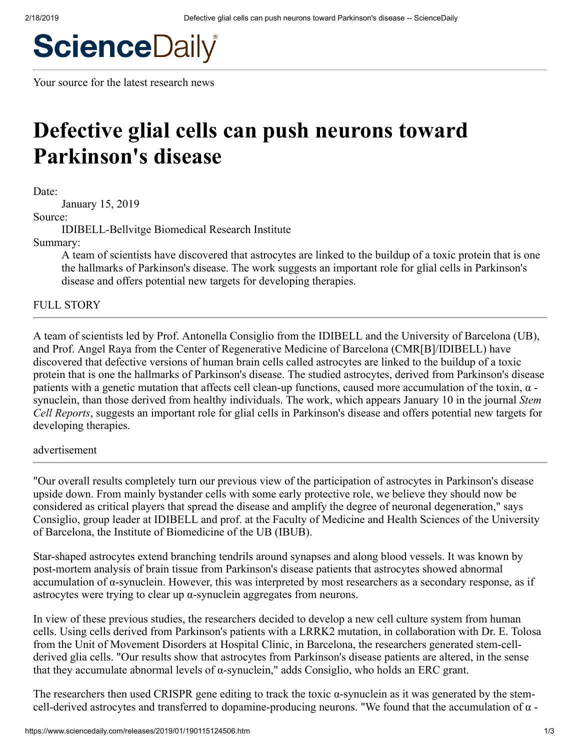# **ScienceDaily**

Your source for the latest research news

# **Defective glial cells can push neurons toward Parkinson's disease**

Date:

January 15, 2019

Source:

IDIBELL-Bellvitge Biomedical Research Institute

Summary:

A team of scientists have discovered that astrocytes are linked to the buildup of a toxic protein that is one the hallmarks of Parkinson's disease. The work suggests an important role for glial cells in Parkinson's disease and offers potential new targets for developing therapies.

#### FULL STORY

A team of scientists led by Prof. Antonella Consiglio from the IDIBELL and the University of Barcelona (UB), and Prof. Angel Raya from the Center of Regenerative Medicine of Barcelona (CMR[B]/IDIBELL) have discovered that defective versions of human brain cells called astrocytes are linked to the buildup of a toxic protein that is one the hallmarks of Parkinson's disease. The studied astrocytes, derived from Parkinson's disease patients with a genetic mutation that affects cell clean-up functions, caused more accumulation of the toxin, α synuclein, than those derived from healthy individuals. The work, which appears January 10 in the journal *Stem Cell Reports*, suggests an important role for glial cells in Parkinson's disease and offers potential new targets for developing therapies.

#### advertisement

"Our overall results completely turn our previous view of the participation of astrocytes in Parkinson's disease upside down. From mainly bystander cells with some early protective role, we believe they should now be considered as critical players that spread the disease and amplify the degree of neuronal degeneration," says Consiglio, group leader at IDIBELL and prof. at the Faculty of Medicine and Health Sciences of the University of Barcelona, the Institute of Biomedicine of the UB (IBUB).

Star-shaped astrocytes extend branching tendrils around synapses and along blood vessels. It was known by post-mortem analysis of brain tissue from Parkinson's disease patients that astrocytes showed abnormal accumulation of α-synuclein. However, this was interpreted by most researchers as a secondary response, as if astrocytes were trying to clear up  $\alpha$ -synuclein aggregates from neurons.

In view of these previous studies, the researchers decided to develop a new cell culture system from human cells. Using cells derived from Parkinson's patients with a LRRK2 mutation, in collaboration with Dr. E. Tolosa from the Unit of Movement Disorders at Hospital Clínic, in Barcelona, the researchers generated stem-cellderived glia cells. "Our results show that astrocytes from Parkinson's disease patients are altered, in the sense that they accumulate abnormal levels of α-synuclein," adds Consiglio, who holds an ERC grant.

The researchers then used CRISPR gene editing to track the toxic  $\alpha$ -synuclein as it was generated by the stemcell-derived astrocytes and transferred to dopamine-producing neurons. "We found that the accumulation of  $\alpha$  -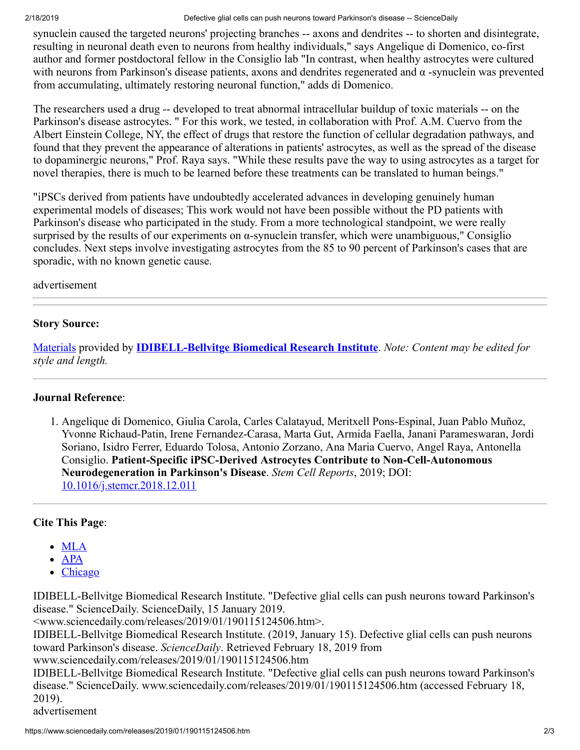2/18/2019 Defective glial cells can push neurons toward Parkinson's disease -- ScienceDaily

synuclein caused the targeted neurons' projecting branches -- axons and dendrites -- to shorten and disintegrate, resulting in neuronal death even to neurons from healthy individuals," says Angelique di Domenico, co-first author and former postdoctoral fellow in the Consiglio lab "In contrast, when healthy astrocytes were cultured with neurons from Parkinson's disease patients, axons and dendrites regenerated and  $\alpha$ -synuclein was prevented from accumulating, ultimately restoring neuronal function," adds di Domenico.

The researchers used a drug -- developed to treat abnormal intracellular buildup of toxic materials -- on the Parkinson's disease astrocytes. " For this work, we tested, in collaboration with Prof. A.M. Cuervo from the Albert Einstein College, NY, the effect of drugs that restore the function of cellular degradation pathways, and found that they prevent the appearance of alterations in patients' astrocytes, as well as the spread of the disease to dopaminergic neurons," Prof. Raya says. "While these results pave the way to using astrocytes as a target for novel therapies, there is much to be learned before these treatments can be translated to human beings."

"iPSCs derived from patients have undoubtedly accelerated advances in developing genuinely human experimental models of diseases; This work would not have been possible without the PD patients with Parkinson's disease who participated in the study. From a more technological standpoint, we were really surprised by the results of our experiments on  $\alpha$ -synuclein transfer, which were unambiguous," Consiglio concludes. Next steps involve investigating astrocytes from the 85 to 90 percent of Parkinson's cases that are sporadic, with no known genetic cause.

# advertisement

# **Story Source:**

[Materials](http://www.idibell.cat/en/whats-on/noticies/defective-glial-cells-can-push-neurons-toward-parkinsons-disease) provided by **[IDIBELL-Bellvitge Biomedical Research Institute](http://www.idibell.cat/)**. *Note: Content may be edited for style and length.*

### **Journal Reference**:

1. Angelique di Domenico, Giulia Carola, Carles Calatayud, Meritxell Pons-Espinal, Juan Pablo Muñoz, Yvonne Richaud-Patin, Irene Fernandez-Carasa, Marta Gut, Armida Faella, Janani Parameswaran, Jordi Soriano, Isidro Ferrer, Eduardo Tolosa, Antonio Zorzano, Ana Maria Cuervo, Angel Raya, Antonella Consiglio. **Patient-Specific iPSC-Derived Astrocytes Contribute to Non-Cell-Autonomous Neurodegeneration in Parkinson's Disease**. *Stem Cell Reports*, 2019; DOI: [10.1016/j.stemcr.2018.12.011](http://dx.doi.org/10.1016/j.stemcr.2018.12.011)

# **Cite This Page**:

- $\bullet$  [MLA](#page-1-0)
- $\bullet$  [APA](#page-1-1)
- [Chicago](#page-1-2)

<span id="page-1-0"></span>IDIBELL-Bellvitge Biomedical Research Institute. "Defective glial cells can push neurons toward Parkinson's disease." ScienceDaily. ScienceDaily, 15 January 2019.

<www.sciencedaily.com/releases/2019/01/190115124506.htm>.

<span id="page-1-1"></span>IDIBELL-Bellvitge Biomedical Research Institute. (2019, January 15). Defective glial cells can push neurons toward Parkinson's disease. *ScienceDaily*. Retrieved February 18, 2019 from

www.sciencedaily.com/releases/2019/01/190115124506.htm

<span id="page-1-2"></span>IDIBELL-Bellvitge Biomedical Research Institute. "Defective glial cells can push neurons toward Parkinson's disease." ScienceDaily. www.sciencedaily.com/releases/2019/01/190115124506.htm (accessed February 18, 2019).

advertisement